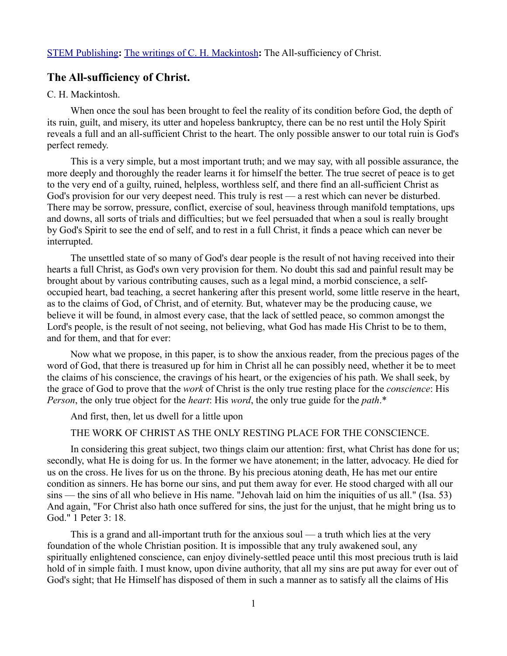# **The All-sufficiency of Christ.**

### C. H. Mackintosh.

When once the soul has been brought to feel the reality of its condition before God, the depth of its ruin, guilt, and misery, its utter and hopeless bankruptcy, there can be no rest until the Holy Spirit reveals a full and an all-sufficient Christ to the heart. The only possible answer to our total ruin is God's perfect remedy.

This is a very simple, but a most important truth; and we may say, with all possible assurance, the more deeply and thoroughly the reader learns it for himself the better. The true secret of peace is to get to the very end of a guilty, ruined, helpless, worthless self, and there find an all-sufficient Christ as God's provision for our very deepest need. This truly is rest — a rest which can never be disturbed. There may be sorrow, pressure, conflict, exercise of soul, heaviness through manifold temptations, ups and downs, all sorts of trials and difficulties; but we feel persuaded that when a soul is really brought by God's Spirit to see the end of self, and to rest in a full Christ, it finds a peace which can never be interrupted.

The unsettled state of so many of God's dear people is the result of not having received into their hearts a full Christ, as God's own very provision for them. No doubt this sad and painful result may be brought about by various contributing causes, such as a legal mind, a morbid conscience, a selfoccupied heart, bad teaching, a secret hankering after this present world, some little reserve in the heart, as to the claims of God, of Christ, and of eternity. But, whatever may be the producing cause, we believe it will be found, in almost every case, that the lack of settled peace, so common amongst the Lord's people, is the result of not seeing, not believing, what God has made His Christ to be to them, and for them, and that for ever:

Now what we propose, in this paper, is to show the anxious reader, from the precious pages of the word of God, that there is treasured up for him in Christ all he can possibly need, whether it be to meet the claims of his conscience, the cravings of his heart, or the exigencies of his path. We shall seek, by the grace of God to prove that the *work* of Christ is the only true resting place for the *conscience*: His *Person*, the only true object for the *heart*: His *word*, the only true guide for the *path*.\*

And first, then, let us dwell for a little upon

### THE WORK OF CHRIST AS THE ONLY RESTING PLACE FOR THE CONSCIENCE.

In considering this great subject, two things claim our attention: first, what Christ has done for us; secondly, what He is doing for us. In the former we have atonement; in the latter, advocacy. He died for us on the cross. He lives for us on the throne. By his precious atoning death, He has met our entire condition as sinners. He has borne our sins, and put them away for ever. He stood charged with all our sins — the sins of all who believe in His name. "Jehovah laid on him the iniquities of us all." (Isa. 53) And again, "For Christ also hath once suffered for sins, the just for the unjust, that he might bring us to God." 1 Peter 3: 18.

This is a grand and all-important truth for the anxious soul — a truth which lies at the very foundation of the whole Christian position. It is impossible that any truly awakened soul, any spiritually enlightened conscience, can enjoy divinely-settled peace until this most precious truth is laid hold of in simple faith. I must know, upon divine authority, that all my sins are put away for ever out of God's sight; that He Himself has disposed of them in such a manner as to satisfy all the claims of His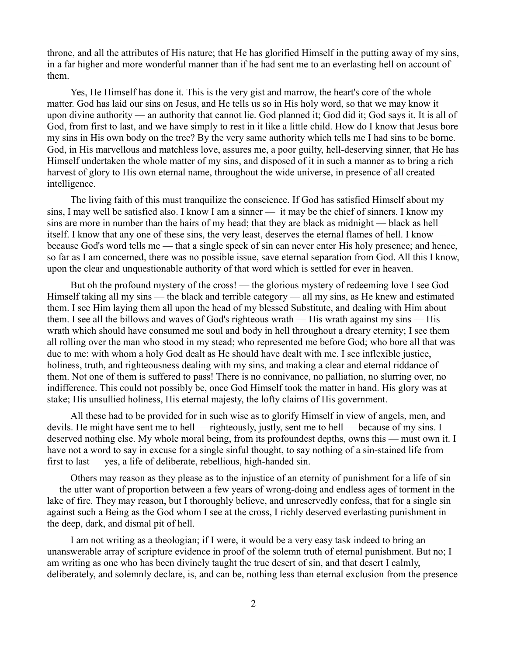throne, and all the attributes of His nature; that He has glorified Himself in the putting away of my sins, in a far higher and more wonderful manner than if he had sent me to an everlasting hell on account of them.

Yes, He Himself has done it. This is the very gist and marrow, the heart's core of the whole matter. God has laid our sins on Jesus, and He tells us so in His holy word, so that we may know it upon divine authority — an authority that cannot lie. God planned it; God did it; God says it. It is all of God, from first to last, and we have simply to rest in it like a little child. How do I know that Jesus bore my sins in His own body on the tree? By the very same authority which tells me I had sins to be borne. God, in His marvellous and matchless love, assures me, a poor guilty, hell-deserving sinner, that He has Himself undertaken the whole matter of my sins, and disposed of it in such a manner as to bring a rich harvest of glory to His own eternal name, throughout the wide universe, in presence of all created intelligence.

The living faith of this must tranquilize the conscience. If God has satisfied Himself about my sins, I may well be satisfied also. I know I am a sinner — it may be the chief of sinners. I know my sins are more in number than the hairs of my head; that they are black as midnight — black as hell itself. I know that any one of these sins, the very least, deserves the eternal flames of hell. I know because God's word tells me — that a single speck of sin can never enter His holy presence; and hence, so far as I am concerned, there was no possible issue, save eternal separation from God. All this I know, upon the clear and unquestionable authority of that word which is settled for ever in heaven.

But oh the profound mystery of the cross! — the glorious mystery of redeeming love I see God Himself taking all my sins — the black and terrible category — all my sins, as He knew and estimated them. I see Him laying them all upon the head of my blessed Substitute, and dealing with Him about them. I see all the billows and waves of God's righteous wrath — His wrath against my sins — His wrath which should have consumed me soul and body in hell throughout a dreary eternity; I see them all rolling over the man who stood in my stead; who represented me before God; who bore all that was due to me: with whom a holy God dealt as He should have dealt with me. I see inflexible justice, holiness, truth, and righteousness dealing with my sins, and making a clear and eternal riddance of them. Not one of them is suffered to pass! There is no connivance, no palliation, no slurring over, no indifference. This could not possibly be, once God Himself took the matter in hand. His glory was at stake; His unsullied holiness, His eternal majesty, the lofty claims of His government.

All these had to be provided for in such wise as to glorify Himself in view of angels, men, and devils. He might have sent me to hell — righteously, justly, sent me to hell — because of my sins. I deserved nothing else. My whole moral being, from its profoundest depths, owns this — must own it. I have not a word to say in excuse for a single sinful thought, to say nothing of a sin-stained life from first to last — yes, a life of deliberate, rebellious, high-handed sin.

Others may reason as they please as to the injustice of an eternity of punishment for a life of sin — the utter want of proportion between a few years of wrong-doing and endless ages of torment in the lake of fire. They may reason, but I thoroughly believe, and unreservedly confess, that for a single sin against such a Being as the God whom I see at the cross, I richly deserved everlasting punishment in the deep, dark, and dismal pit of hell.

I am not writing as a theologian; if I were, it would be a very easy task indeed to bring an unanswerable array of scripture evidence in proof of the solemn truth of eternal punishment. But no; I am writing as one who has been divinely taught the true desert of sin, and that desert I calmly, deliberately, and solemnly declare, is, and can be, nothing less than eternal exclusion from the presence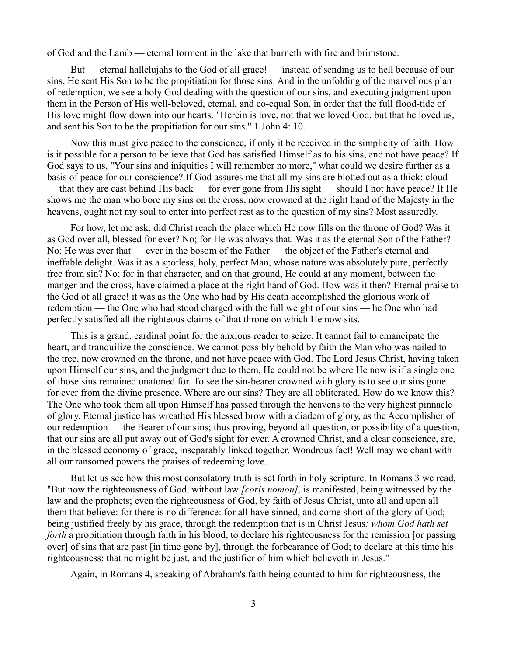of God and the Lamb — eternal torment in the lake that burneth with fire and brimstone.

But — eternal hallelujahs to the God of all grace! — instead of sending us to hell because of our sins, He sent His Son to be the propitiation for those sins. And in the unfolding of the marvellous plan of redemption, we see a holy God dealing with the question of our sins, and executing judgment upon them in the Person of His well-beloved, eternal, and co-equal Son, in order that the full flood-tide of His love might flow down into our hearts. "Herein is love, not that we loved God, but that he loved us, and sent his Son to be the propitiation for our sins." 1 John 4: 10.

Now this must give peace to the conscience, if only it be received in the simplicity of faith. How is it possible for a person to believe that God has satisfied Himself as to his sins, and not have peace? If God says to us, "Your sins and iniquities I will remember no more," what could we desire further as a basis of peace for our conscience? If God assures me that all my sins are blotted out as a thick; cloud — that they are cast behind His back — for ever gone from His sight — should I not have peace? If He shows me the man who bore my sins on the cross, now crowned at the right hand of the Majesty in the heavens, ought not my soul to enter into perfect rest as to the question of my sins? Most assuredly.

For how, let me ask, did Christ reach the place which He now fills on the throne of God? Was it as God over all, blessed for ever? No; for He was always that. Was it as the eternal Son of the Father? No; He was ever that — ever in the bosom of the Father — the object of the Father's eternal and ineffable delight. Was it as a spotless, holy, perfect Man, whose nature was absolutely pure, perfectly free from sin? No; for in that character, and on that ground, He could at any moment, between the manger and the cross, have claimed a place at the right hand of God. How was it then? Eternal praise to the God of all grace! it was as the One who had by His death accomplished the glorious work of redemption — the One who had stood charged with the full weight of our sins — he One who had perfectly satisfied all the righteous claims of that throne on which He now sits.

This is a grand, cardinal point for the anxious reader to seize. It cannot fail to emancipate the heart, and tranquilize the conscience. We cannot possibly behold by faith the Man who was nailed to the tree, now crowned on the throne, and not have peace with God. The Lord Jesus Christ, having taken upon Himself our sins, and the judgment due to them, He could not be where He now is if a single one of those sins remained unatoned for. To see the sin-bearer crowned with glory is to see our sins gone for ever from the divine presence. Where are our sins? They are all obliterated. How do we know this? The One who took them all upon Himself has passed through the heavens to the very highest pinnacle of glory. Eternal justice has wreathed His blessed brow with a diadem of glory, as the Accomplisher of our redemption — the Bearer of our sins; thus proving, beyond all question, or possibility of a question, that our sins are all put away out of God's sight for ever. A crowned Christ, and a clear conscience, are, in the blessed economy of grace, inseparably linked together. Wondrous fact! Well may we chant with all our ransomed powers the praises of redeeming love.

But let us see how this most consolatory truth is set forth in holy scripture. In Romans 3 we read, "But now the righteousness of God, without law *[coris nomou],* is manifested, being witnessed by the law and the prophets; even the righteousness of God, by faith of Jesus Christ, unto all and upon all them that believe: for there is no difference: for all have sinned, and come short of the glory of God; being justified freely by his grace, through the redemption that is in Christ Jesus*: whom God hath set forth* a propitiation through faith in his blood, to declare his righteousness for the remission [or passing] over] of sins that are past [in time gone by], through the forbearance of God; to declare at this time his righteousness; that he might be just, and the justifier of him which believeth in Jesus."

Again, in Romans 4, speaking of Abraham's faith being counted to him for righteousness, the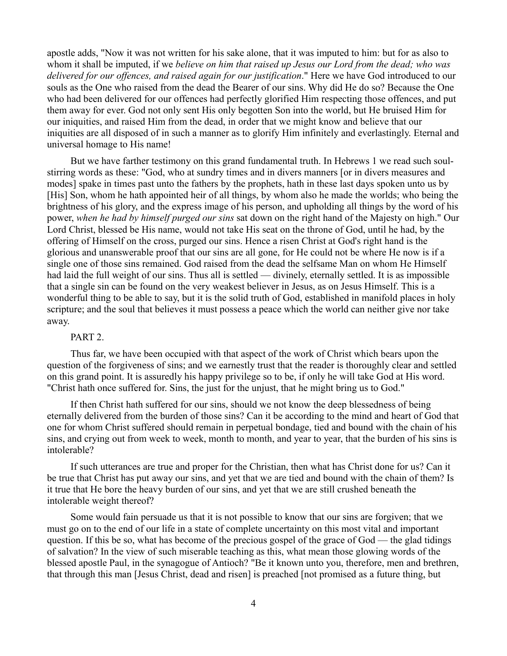apostle adds, "Now it was not written for his sake alone, that it was imputed to him: but for as also to whom it shall be imputed, if we *believe on him that raised up Jesus our Lord from the dead; who was delivered for our offences, and raised again for our justification*." Here we have God introduced to our souls as the One who raised from the dead the Bearer of our sins. Why did He do so? Because the One who had been delivered for our offences had perfectly glorified Him respecting those offences, and put them away for ever. God not only sent His only begotten Son into the world, but He bruised Him for our iniquities, and raised Him from the dead, in order that we might know and believe that our iniquities are all disposed of in such a manner as to glorify Him infinitely and everlastingly. Eternal and universal homage to His name!

But we have farther testimony on this grand fundamental truth. In Hebrews 1 we read such soulstirring words as these: "God, who at sundry times and in divers manners [or in divers measures and modes] spake in times past unto the fathers by the prophets, hath in these last days spoken unto us by [His] Son, whom he hath appointed heir of all things, by whom also he made the worlds; who being the brightness of his glory, and the express image of his person, and upholding all things by the word of his power, *when he had by himself purged our sins* sat down on the right hand of the Majesty on high." Our Lord Christ, blessed be His name, would not take His seat on the throne of God, until he had, by the offering of Himself on the cross, purged our sins. Hence a risen Christ at God's right hand is the glorious and unanswerable proof that our sins are all gone, for He could not be where He now is if a single one of those sins remained. God raised from the dead the selfsame Man on whom He Himself had laid the full weight of our sins. Thus all is settled — divinely, eternally settled. It is as impossible that a single sin can be found on the very weakest believer in Jesus, as on Jesus Himself. This is a wonderful thing to be able to say, but it is the solid truth of God, established in manifold places in holy scripture; and the soul that believes it must possess a peace which the world can neither give nor take away.

# PART 2.

Thus far, we have been occupied with that aspect of the work of Christ which bears upon the question of the forgiveness of sins; and we earnestly trust that the reader is thoroughly clear and settled on this grand point. It is assuredly his happy privilege so to be, if only he will take God at His word. "Christ hath once suffered for. Sins, the just for the unjust, that he might bring us to God."

If then Christ hath suffered for our sins, should we not know the deep blessedness of being eternally delivered from the burden of those sins? Can it be according to the mind and heart of God that one for whom Christ suffered should remain in perpetual bondage, tied and bound with the chain of his sins, and crying out from week to week, month to month, and year to year, that the burden of his sins is intolerable?

If such utterances are true and proper for the Christian, then what has Christ done for us? Can it be true that Christ has put away our sins, and yet that we are tied and bound with the chain of them? Is it true that He bore the heavy burden of our sins, and yet that we are still crushed beneath the intolerable weight thereof?

Some would fain persuade us that it is not possible to know that our sins are forgiven; that we must go on to the end of our life in a state of complete uncertainty on this most vital and important question. If this be so, what has become of the precious gospel of the grace of God — the glad tidings of salvation? In the view of such miserable teaching as this, what mean those glowing words of the blessed apostle Paul, in the synagogue of Antioch? "Be it known unto you, therefore, men and brethren, that through this man [Jesus Christ, dead and risen] is preached [not promised as a future thing, but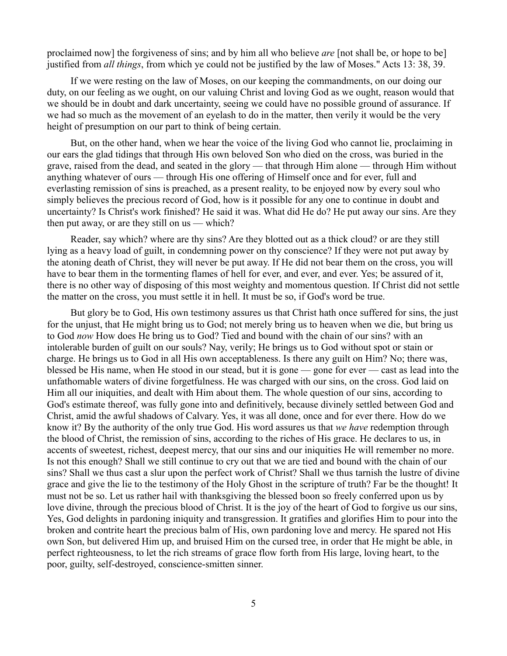proclaimed now] the forgiveness of sins; and by him all who believe *are* [not shall be, or hope to be] justified from *all things*, from which ye could not be justified by the law of Moses." Acts 13: 38, 39.

If we were resting on the law of Moses, on our keeping the commandments, on our doing our duty, on our feeling as we ought, on our valuing Christ and loving God as we ought, reason would that we should be in doubt and dark uncertainty, seeing we could have no possible ground of assurance. If we had so much as the movement of an eyelash to do in the matter, then verily it would be the very height of presumption on our part to think of being certain.

But, on the other hand, when we hear the voice of the living God who cannot lie, proclaiming in our ears the glad tidings that through His own beloved Son who died on the cross, was buried in the grave, raised from the dead, and seated in the glory — that through Him alone — through Him without anything whatever of ours — through His one offering of Himself once and for ever, full and everlasting remission of sins is preached, as a present reality, to be enjoyed now by every soul who simply believes the precious record of God, how is it possible for any one to continue in doubt and uncertainty? Is Christ's work finished? He said it was. What did He do? He put away our sins. Are they then put away, or are they still on us — which?

Reader, say which? where are thy sins? Are they blotted out as a thick cloud? or are they still lying as a heavy load of guilt, in condemning power on thy conscience? If they were not put away by the atoning death of Christ, they will never be put away. If He did not bear them on the cross, you will have to bear them in the tormenting flames of hell for ever, and ever, and ever. Yes; be assured of it, there is no other way of disposing of this most weighty and momentous question. If Christ did not settle the matter on the cross, you must settle it in hell. It must be so, if God's word be true.

But glory be to God, His own testimony assures us that Christ hath once suffered for sins, the just for the unjust, that He might bring us to God; not merely bring us to heaven when we die, but bring us to God *now* How does He bring us to God? Tied and bound with the chain of our sins? with an intolerable burden of guilt on our souls? Nay, verily; He brings us to God without spot or stain or charge. He brings us to God in all His own acceptableness. Is there any guilt on Him? No; there was, blessed be His name, when He stood in our stead, but it is gone — gone for ever — cast as lead into the unfathomable waters of divine forgetfulness. He was charged with our sins, on the cross. God laid on Him all our iniquities, and dealt with Him about them. The whole question of our sins, according to God's estimate thereof, was fully gone into and definitively, because divinely settled between God and Christ, amid the awful shadows of Calvary. Yes, it was all done, once and for ever there. How do we know it? By the authority of the only true God. His word assures us that *we have* redemption through the blood of Christ, the remission of sins, according to the riches of His grace. He declares to us, in accents of sweetest, richest, deepest mercy, that our sins and our iniquities He will remember no more. Is not this enough? Shall we still continue to cry out that we are tied and bound with the chain of our sins? Shall we thus cast a slur upon the perfect work of Christ? Shall we thus tarnish the lustre of divine grace and give the lie to the testimony of the Holy Ghost in the scripture of truth? Far be the thought! It must not be so. Let us rather hail with thanksgiving the blessed boon so freely conferred upon us by love divine, through the precious blood of Christ. It is the joy of the heart of God to forgive us our sins, Yes, God delights in pardoning iniquity and transgression. It gratifies and glorifies Him to pour into the broken and contrite heart the precious balm of His, own pardoning love and mercy. He spared not His own Son, but delivered Him up, and bruised Him on the cursed tree, in order that He might be able, in perfect righteousness, to let the rich streams of grace flow forth from His large, loving heart, to the poor, guilty, self-destroyed, conscience-smitten sinner.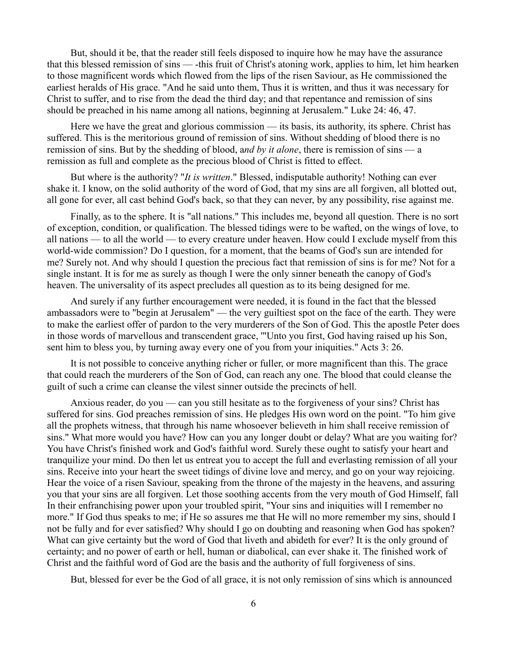But, should it be, that the reader still feels disposed to inquire how he may have the assurance that this blessed remission of sins — -this fruit of Christ's atoning work, applies to him, let him hearken to those magnificent words which flowed from the lips of the risen Saviour, as He commissioned the earliest heralds of His grace. "And he said unto them, Thus it is written, and thus it was necessary for Christ to suffer, and to rise from the dead the third day; and that repentance and remission of sins should be preached in his name among all nations, beginning at Jerusalem." Luke 24: 46, 47.

Here we have the great and glorious commission — its basis, its authority, its sphere. Christ has suffered. This is the meritorious ground of remission of sins. Without shedding of blood there is no remission of sins. But by the shedding of blood, a*nd by it alone*, there is remission of sins — a remission as full and complete as the precious blood of Christ is fitted to effect.

But where is the authority? "*It is written*." Blessed, indisputable authority! Nothing can ever shake it. I know, on the solid authority of the word of God, that my sins are all forgiven, all blotted out, all gone for ever, all cast behind God's back, so that they can never, by any possibility, rise against me.

Finally, as to the sphere. It is "all nations." This includes me, beyond all question. There is no sort of exception, condition, or qualification. The blessed tidings were to be wafted, on the wings of love, to all nations — to all the world — to every creature under heaven. How could I exclude myself from this world-wide commission? Do I question, for a moment, that the beams of God's sun are intended for me? Surely not. And why should I question the precious fact that remission of sins is for me? Not for a single instant. It is for me as surely as though I were the only sinner beneath the canopy of God's heaven. The universality of its aspect precludes all question as to its being designed for me.

And surely if any further encouragement were needed, it is found in the fact that the blessed ambassadors were to "begin at Jerusalem" — the very guiltiest spot on the face of the earth. They were to make the earliest offer of pardon to the very murderers of the Son of God. This the apostle Peter does in those words of marvellous and transcendent grace, '"Unto you first, God having raised up his Son, sent him to bless you, by turning away every one of you from your iniquities." Acts 3: 26.

It is not possible to conceive anything richer or fuller, or more magnificent than this. The grace that could reach the murderers of the Son of God, can reach any one. The blood that could cleanse the guilt of such a crime can cleanse the vilest sinner outside the precincts of hell.

Anxious reader, do you — can you still hesitate as to the forgiveness of your sins? Christ has suffered for sins. God preaches remission of sins. He pledges His own word on the point. "To him give all the prophets witness, that through his name whosoever believeth in him shall receive remission of sins." What more would you have? How can you any longer doubt or delay? What are you waiting for? You have Christ's finished work and God's faithful word. Surely these ought to satisfy your heart and tranquilize your mind. Do then let us entreat you to accept the full and everlasting remission of all your sins. Receive into your heart the sweet tidings of divine love and mercy, and go on your way rejoicing. Hear the voice of a risen Saviour, speaking from the throne of the majesty in the heavens, and assuring you that your sins are all forgiven. Let those soothing accents from the very mouth of God Himself, fall In their enfranchising power upon your troubled spirit, "Your sins and iniquities will I remember no more." If God thus speaks to me; if He so assures me that He will no more remember my sins, should I not be fully and for ever satisfied? Why should I go on doubting and reasoning when God has spoken? What can give certainty but the word of God that liveth and abideth for ever? It is the only ground of certainty; and no power of earth or hell, human or diabolical, can ever shake it. The finished work of Christ and the faithful word of God are the basis and the authority of full forgiveness of sins.

But, blessed for ever be the God of all grace, it is not only remission of sins which is announced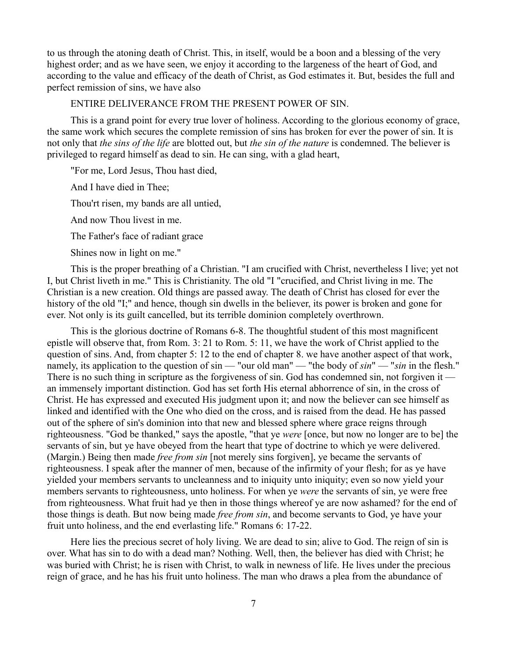to us through the atoning death of Christ. This, in itself, would be a boon and a blessing of the very highest order; and as we have seen, we enjoy it according to the largeness of the heart of God, and according to the value and efficacy of the death of Christ, as God estimates it. But, besides the full and perfect remission of sins, we have also

ENTIRE DELIVERANCE FROM THE PRESENT POWER OF SIN.

This is a grand point for every true lover of holiness. According to the glorious economy of grace, the same work which secures the complete remission of sins has broken for ever the power of sin. It is not only that *the sins of the life* are blotted out, but *the sin of the nature* is condemned. The believer is privileged to regard himself as dead to sin. He can sing, with a glad heart,

"For me, Lord Jesus, Thou hast died,

And I have died in Thee;

Thou'rt risen, my bands are all untied,

And now Thou livest in me.

The Father's face of radiant grace

Shines now in light on me."

This is the proper breathing of a Christian. "I am crucified with Christ, nevertheless I live; yet not I, but Christ liveth in me." This is Christianity. The old "I "crucified, and Christ living in me. The Christian is a new creation. Old things are passed away. The death of Christ has closed for ever the history of the old "I;" and hence, though sin dwells in the believer, its power is broken and gone for ever. Not only is its guilt cancelled, but its terrible dominion completely overthrown.

This is the glorious doctrine of Romans 6-8. The thoughtful student of this most magnificent epistle will observe that, from Rom. 3: 21 to Rom. 5: 11, we have the work of Christ applied to the question of sins. And, from chapter 5: 12 to the end of chapter 8. we have another aspect of that work, namely, its application to the question of sin — "our old man" — "the body of *sin*" — "*sin* in the flesh." There is no such thing in scripture as the forgiveness of sin. God has condemned sin, not forgiven it an immensely important distinction. God has set forth His eternal abhorrence of sin, in the cross of Christ. He has expressed and executed His judgment upon it; and now the believer can see himself as linked and identified with the One who died on the cross, and is raised from the dead. He has passed out of the sphere of sin's dominion into that new and blessed sphere where grace reigns through righteousness. "God be thanked," says the apostle, "that ye *were* [once, but now no longer are to be] the servants of sin, but ye have obeyed from the heart that type of doctrine to which ye were delivered. (Margin.) Being then made *free from sin* [not merely sins forgiven], ye became the servants of righteousness. I speak after the manner of men, because of the infirmity of your flesh; for as ye have yielded your members servants to uncleanness and to iniquity unto iniquity; even so now yield your members servants to righteousness, unto holiness. For when ye *were* the servants of sin, ye were free from righteousness. What fruit had ye then in those things whereof ye are now ashamed? for the end of those things is death. But now being made *free from sin*, and become servants to God, ye have your fruit unto holiness, and the end everlasting life." Romans 6: 17-22.

Here lies the precious secret of holy living. We are dead to sin; alive to God. The reign of sin is over. What has sin to do with a dead man? Nothing. Well, then, the believer has died with Christ; he was buried with Christ; he is risen with Christ, to walk in newness of life. He lives under the precious reign of grace, and he has his fruit unto holiness. The man who draws a plea from the abundance of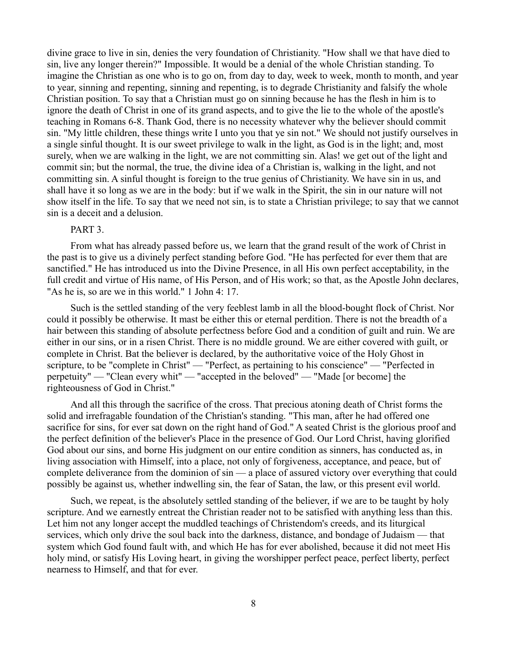divine grace to live in sin, denies the very foundation of Christianity. "How shall we that have died to sin, live any longer therein?" Impossible. It would be a denial of the whole Christian standing. To imagine the Christian as one who is to go on, from day to day, week to week, month to month, and year to year, sinning and repenting, sinning and repenting, is to degrade Christianity and falsify the whole Christian position. To say that a Christian must go on sinning because he has the flesh in him is to ignore the death of Christ in one of its grand aspects, and to give the lie to the whole of the apostle's teaching in Romans 6-8. Thank God, there is no necessity whatever why the believer should commit sin. "My little children, these things write I unto you that ye sin not." We should not justify ourselves in a single sinful thought. It is our sweet privilege to walk in the light, as God is in the light; and, most surely, when we are walking in the light, we are not committing sin. Alas! we get out of the light and commit sin; but the normal, the true, the divine idea of a Christian is, walking in the light, and not committing sin. A sinful thought is foreign to the true genius of Christianity. We have sin in us, and shall have it so long as we are in the body: but if we walk in the Spirit, the sin in our nature will not show itself in the life. To say that we need not sin, is to state a Christian privilege; to say that we cannot sin is a deceit and a delusion.

### PART<sub>3</sub>.

From what has already passed before us, we learn that the grand result of the work of Christ in the past is to give us a divinely perfect standing before God. "He has perfected for ever them that are sanctified." He has introduced us into the Divine Presence, in all His own perfect acceptability, in the full credit and virtue of His name, of His Person, and of His work; so that, as the Apostle John declares, "As he is, so are we in this world." 1 John 4: 17.

Such is the settled standing of the very feeblest lamb in all the blood-bought flock of Christ. Nor could it possibly be otherwise. It mast be either this or eternal perdition. There is not the breadth of a hair between this standing of absolute perfectness before God and a condition of guilt and ruin. We are either in our sins, or in a risen Christ. There is no middle ground. We are either covered with guilt, or complete in Christ. Bat the believer is declared, by the authoritative voice of the Holy Ghost in scripture, to be "complete in Christ" — "Perfect, as pertaining to his conscience" — "Perfected in perpetuity" — "Clean every whit" — "accepted in the beloved" — "Made [or become] the righteousness of God in Christ."

And all this through the sacrifice of the cross. That precious atoning death of Christ forms the solid and irrefragable foundation of the Christian's standing. "This man, after he had offered one sacrifice for sins, for ever sat down on the right hand of God." A seated Christ is the glorious proof and the perfect definition of the believer's Place in the presence of God. Our Lord Christ, having glorified God about our sins, and borne His judgment on our entire condition as sinners, has conducted as, in living association with Himself, into a place, not only of forgiveness, acceptance, and peace, but of complete deliverance from the dominion of sin — a place of assured victory over everything that could possibly be against us, whether indwelling sin, the fear of Satan, the law, or this present evil world.

Such, we repeat, is the absolutely settled standing of the believer, if we are to be taught by holy scripture. And we earnestly entreat the Christian reader not to be satisfied with anything less than this. Let him not any longer accept the muddled teachings of Christendom's creeds, and its liturgical services, which only drive the soul back into the darkness, distance, and bondage of Judaism — that system which God found fault with, and which He has for ever abolished, because it did not meet His holy mind, or satisfy His Loving heart, in giving the worshipper perfect peace, perfect liberty, perfect nearness to Himself, and that for ever.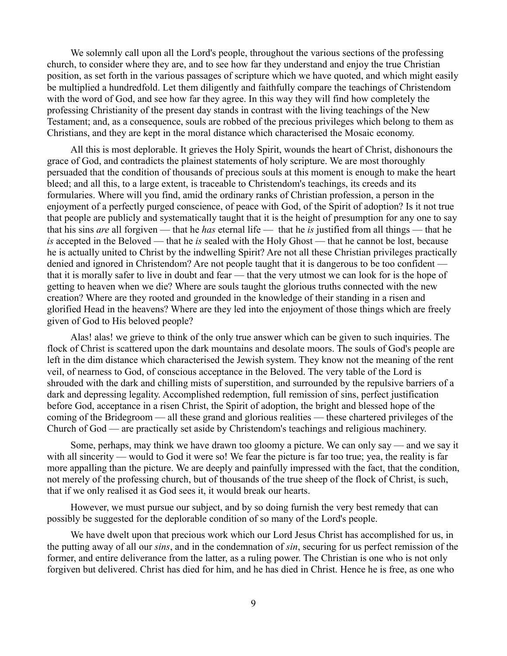We solemnly call upon all the Lord's people, throughout the various sections of the professing church, to consider where they are, and to see how far they understand and enjoy the true Christian position, as set forth in the various passages of scripture which we have quoted, and which might easily be multiplied a hundredfold. Let them diligently and faithfully compare the teachings of Christendom with the word of God, and see how far they agree. In this way they will find how completely the professing Christianity of the present day stands in contrast with the living teachings of the New Testament; and, as a consequence, souls are robbed of the precious privileges which belong to them as Christians, and they are kept in the moral distance which characterised the Mosaic economy.

All this is most deplorable. It grieves the Holy Spirit, wounds the heart of Christ, dishonours the grace of God, and contradicts the plainest statements of holy scripture. We are most thoroughly persuaded that the condition of thousands of precious souls at this moment is enough to make the heart bleed; and all this, to a large extent, is traceable to Christendom's teachings, its creeds and its formularies. Where will you find, amid the ordinary ranks of Christian profession, a person in the enjoyment of a perfectly purged conscience, of peace with God, of the Spirit of adoption? Is it not true that people are publicly and systematically taught that it is the height of presumption for any one to say that his sins *are* all forgiven — that he *has* eternal life — that he *is* justified from all things — that he *is* accepted in the Beloved — that he *is* sealed with the Holy Ghost — that he cannot be lost, because he is actually united to Christ by the indwelling Spirit? Are not all these Christian privileges practically denied and ignored in Christendom? Are not people taught that it is dangerous to be too confident that it is morally safer to live in doubt and fear — that the very utmost we can look for is the hope of getting to heaven when we die? Where are souls taught the glorious truths connected with the new creation? Where are they rooted and grounded in the knowledge of their standing in a risen and glorified Head in the heavens? Where are they led into the enjoyment of those things which are freely given of God to His beloved people?

Alas! alas! we grieve to think of the only true answer which can be given to such inquiries. The flock of Christ is scattered upon the dark mountains and desolate moors. The souls of God's people are left in the dim distance which characterised the Jewish system. They know not the meaning of the rent veil, of nearness to God, of conscious acceptance in the Beloved. The very table of the Lord is shrouded with the dark and chilling mists of superstition, and surrounded by the repulsive barriers of a dark and depressing legality. Accomplished redemption, full remission of sins, perfect justification before God, acceptance in a risen Christ, the Spirit of adoption, the bright and blessed hope of the coming of the Bridegroom — all these grand and glorious realities — these chartered privileges of the Church of God — are practically set aside by Christendom's teachings and religious machinery.

Some, perhaps, may think we have drawn too gloomy a picture. We can only say — and we say it with all sincerity — would to God it were so! We fear the picture is far too true; yea, the reality is far more appalling than the picture. We are deeply and painfully impressed with the fact, that the condition, not merely of the professing church, but of thousands of the true sheep of the flock of Christ, is such, that if we only realised it as God sees it, it would break our hearts.

However, we must pursue our subject, and by so doing furnish the very best remedy that can possibly be suggested for the deplorable condition of so many of the Lord's people.

We have dwelt upon that precious work which our Lord Jesus Christ has accomplished for us, in the putting away of all our *sins*, and in the condemnation of *sin*, securing for us perfect remission of the former, and entire deliverance from the latter, as a ruling power. The Christian is one who is not only forgiven but delivered. Christ has died for him, and he has died in Christ. Hence he is free, as one who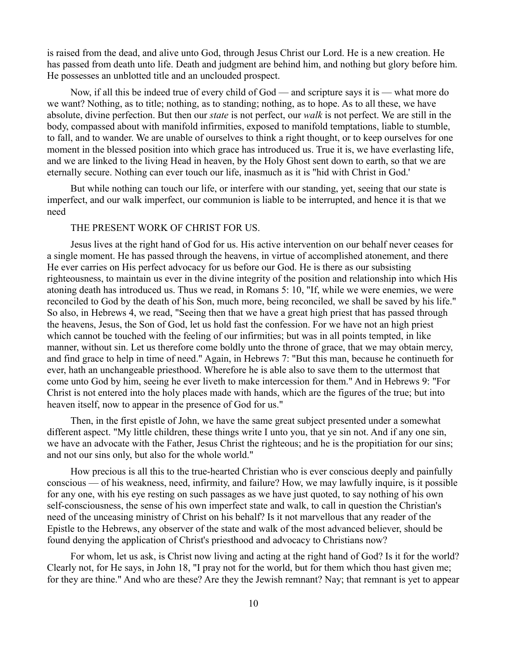is raised from the dead, and alive unto God, through Jesus Christ our Lord. He is a new creation. He has passed from death unto life. Death and judgment are behind him, and nothing but glory before him. He possesses an unblotted title and an unclouded prospect.

Now, if all this be indeed true of every child of God — and scripture says it is — what more do we want? Nothing, as to title; nothing, as to standing; nothing, as to hope. As to all these, we have absolute, divine perfection. But then our *state* is not perfect, our *walk* is not perfect. We are still in the body, compassed about with manifold infirmities, exposed to manifold temptations, liable to stumble, to fall, and to wander. We are unable of ourselves to think a right thought, or to keep ourselves for one moment in the blessed position into which grace has introduced us. True it is, we have everlasting life, and we are linked to the living Head in heaven, by the Holy Ghost sent down to earth, so that we are eternally secure. Nothing can ever touch our life, inasmuch as it is "hid with Christ in God.'

But while nothing can touch our life, or interfere with our standing, yet, seeing that our state is imperfect, and our walk imperfect, our communion is liable to be interrupted, and hence it is that we need

### THE PRESENT WORK OF CHRIST FOR US.

Jesus lives at the right hand of God for us. His active intervention on our behalf never ceases for a single moment. He has passed through the heavens, in virtue of accomplished atonement, and there He ever carries on His perfect advocacy for us before our God. He is there as our subsisting righteousness, to maintain us ever in the divine integrity of the position and relationship into which His atoning death has introduced us. Thus we read, in Romans 5: 10, "If, while we were enemies, we were reconciled to God by the death of his Son, much more, being reconciled, we shall be saved by his life." So also, in Hebrews 4, we read, "Seeing then that we have a great high priest that has passed through the heavens, Jesus, the Son of God, let us hold fast the confession. For we have not an high priest which cannot be touched with the feeling of our infirmities; but was in all points tempted, in like manner, without sin. Let us therefore come boldly unto the throne of grace, that we may obtain mercy, and find grace to help in time of need." Again, in Hebrews 7: "But this man, because he continueth for ever, hath an unchangeable priesthood. Wherefore he is able also to save them to the uttermost that come unto God by him, seeing he ever liveth to make intercession for them." And in Hebrews 9: "For Christ is not entered into the holy places made with hands, which are the figures of the true; but into heaven itself, now to appear in the presence of God for us."

Then, in the first epistle of John, we have the same great subject presented under a somewhat different aspect. "My little children, these things write I unto you, that ye sin not. And if any one sin, we have an advocate with the Father, Jesus Christ the righteous; and he is the propitiation for our sins; and not our sins only, but also for the whole world."

How precious is all this to the true-hearted Christian who is ever conscious deeply and painfully conscious — of his weakness, need, infirmity, and failure? How, we may lawfully inquire, is it possible for any one, with his eye resting on such passages as we have just quoted, to say nothing of his own self-consciousness, the sense of his own imperfect state and walk, to call in question the Christian's need of the unceasing ministry of Christ on his behalf? Is it not marvellous that any reader of the Epistle to the Hebrews, any observer of the state and walk of the most advanced believer, should be found denying the application of Christ's priesthood and advocacy to Christians now?

For whom, let us ask, is Christ now living and acting at the right hand of God? Is it for the world? Clearly not, for He says, in John 18, "I pray not for the world, but for them which thou hast given me; for they are thine." And who are these? Are they the Jewish remnant? Nay; that remnant is yet to appear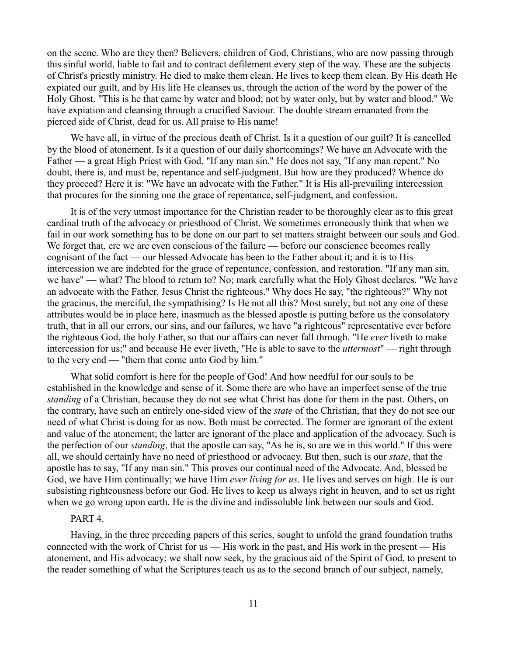on the scene. Who are they then? Believers, children of God, Christians, who are now passing through this sinful world, liable to fail and to contract defilement every step of the way. These are the subjects of Christ's priestly ministry. He died to make them clean. He lives to keep them clean. By His death He expiated our guilt, and by His life He cleanses us, through the action of the word by the power of the Holy Ghost. "This is he that came by water and blood; not by water only, but by water and blood." We have expiation and cleansing through a crucified Saviour. The double stream emanated from the pierced side of Christ, dead for us. All praise to His name!

We have all, in virtue of the precious death of Christ. Is it a question of our guilt? It is cancelled by the blood of atonement. Is it a question of our daily shortcomings? We have an Advocate with the Father — a great High Priest with God. "If any man sin." He does not say, "If any man repent." No doubt, there is, and must be, repentance and self-judgment. But how are they produced? Whence do they proceed? Here it is: "We have an advocate with the Father." It is His all-prevailing intercession that procures for the sinning one the grace of repentance, self-judgment, and confession.

It is of the very utmost importance for the Christian reader to be thoroughly clear as to this great cardinal truth of the advocacy or priesthood of Christ. We sometimes erroneously think that when we fail in our work something has to be done on our part to set matters straight between our souls and God. We forget that, ere we are even conscious of the failure — before our conscience becomes really cognisant of the fact — our blessed Advocate has been to the Father about it; and it is to His intercession we are indebted for the grace of repentance, confession, and restoration. "If any man sin, we have" — what? The blood to return to? No; mark carefully what the Holy Ghost declares. "We have an advocate with the Father, Jesus Christ the righteous." Why does He say, "the righteous?" Why not the gracious, the merciful, the sympathising? Is He not all this? Most surely; but not any one of these attributes would be in place here, inasmuch as the blessed apostle is putting before us the consolatory truth, that in all our errors, our sins, and our failures, we have "a righteous" representative ever before the righteous God, the holy Father, so that our affairs can never fall through. "He *ever* liveth to make intercession for us;" and because He ever liveth, "He is able to save to the *uttermost*" — right through to the very end — "them that come unto God by him."

What solid comfort is here for the people of God! And how needful for our souls to be established in the knowledge and sense of it. Some there are who have an imperfect sense of the true *standing* of a Christian, because they do not see what Christ has done for them in the past. Others, on the contrary, have such an entirely one-sided view of the *state* of the Christian, that they do not see our need of what Christ is doing for us now. Both must be corrected. The former are ignorant of the extent and value of the atonement; the latter are ignorant of the place and application of the advocacy. Such is the perfection of our *standing*, that the apostle can say, "As he is, so are we in this world." If this were all, we should certainly have no need of priesthood or advocacy. But then, such is our *state*, that the apostle has to say, "If any man sin." This proves our continual need of the Advocate. And, blessed be God, we have Him continually; we have Him *ever living for us*. He lives and serves on high. He is our subsisting righteousness before our God. He lives to keep us always right in heaven, and to set us right when we go wrong upon earth. He is the divine and indissoluble link between our souls and God.

#### PART<sub>4</sub>

Having, in the three preceding papers of this series, sought to unfold the grand foundation truths connected with the work of Christ for us — His work in the past, and His work in the present — His atonement, and His advocacy; we shall now seek, by the gracious aid of the Spirit of God, to present to the reader something of what the Scriptures teach us as to the second branch of our subject, namely,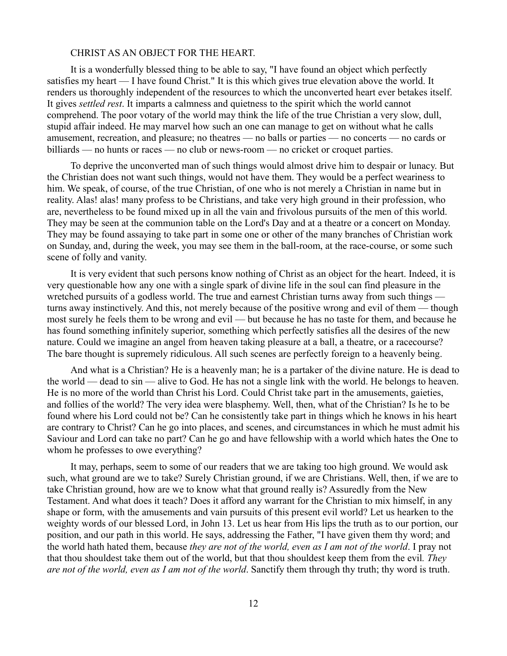#### CHRIST AS AN OBJECT FOR THE HEART.

It is a wonderfully blessed thing to be able to say, "I have found an object which perfectly satisfies my heart — I have found Christ." It is this which gives true elevation above the world. It renders us thoroughly independent of the resources to which the unconverted heart ever betakes itself. It gives *settled rest*. It imparts a calmness and quietness to the spirit which the world cannot comprehend. The poor votary of the world may think the life of the true Christian a very slow, dull, stupid affair indeed. He may marvel how such an one can manage to get on without what he calls amusement, recreation, and pleasure; no theatres — no balls or parties — no concerts — no cards or billiards — no hunts or races — no club or news-room — no cricket or croquet parties.

To deprive the unconverted man of such things would almost drive him to despair or lunacy. But the Christian does not want such things, would not have them. They would be a perfect weariness to him. We speak, of course, of the true Christian, of one who is not merely a Christian in name but in reality. Alas! alas! many profess to be Christians, and take very high ground in their profession, who are, nevertheless to be found mixed up in all the vain and frivolous pursuits of the men of this world. They may be seen at the communion table on the Lord's Day and at a theatre or a concert on Monday. They may be found assaying to take part in some one or other of the many branches of Christian work on Sunday, and, during the week, you may see them in the ball-room, at the race-course, or some such scene of folly and vanity.

It is very evident that such persons know nothing of Christ as an object for the heart. Indeed, it is very questionable how any one with a single spark of divine life in the soul can find pleasure in the wretched pursuits of a godless world. The true and earnest Christian turns away from such things turns away instinctively. And this, not merely because of the positive wrong and evil of them — though most surely he feels them to be wrong and evil — but because he has no taste for them, and because he has found something infinitely superior, something which perfectly satisfies all the desires of the new nature. Could we imagine an angel from heaven taking pleasure at a ball, a theatre, or a racecourse? The bare thought is supremely ridiculous. All such scenes are perfectly foreign to a heavenly being.

And what is a Christian? He is a heavenly man; he is a partaker of the divine nature. He is dead to the world — dead to sin — alive to God. He has not a single link with the world. He belongs to heaven. He is no more of the world than Christ his Lord. Could Christ take part in the amusements, gaieties, and follies of the world? The very idea were blasphemy. Well, then, what of the Christian? Is he to be found where his Lord could not be? Can he consistently take part in things which he knows in his heart are contrary to Christ? Can he go into places, and scenes, and circumstances in which he must admit his Saviour and Lord can take no part? Can he go and have fellowship with a world which hates the One to whom he professes to owe everything?

It may, perhaps, seem to some of our readers that we are taking too high ground. We would ask such, what ground are we to take? Surely Christian ground, if we are Christians. Well, then, if we are to take Christian ground, how are we to know what that ground really is? Assuredly from the New Testament. And what does it teach? Does it afford any warrant for the Christian to mix himself, in any shape or form, with the amusements and vain pursuits of this present evil world? Let us hearken to the weighty words of our blessed Lord, in John 13. Let us hear from His lips the truth as to our portion, our position, and our path in this world. He says, addressing the Father, "I have given them thy word; and the world hath hated them, because *they are not of the world, even as I am not of the world*. I pray not that thou shouldest take them out of the world, but that thou shouldest keep them from the evil*. They are not of the world, even as I am not of the world*. Sanctify them through thy truth; thy word is truth.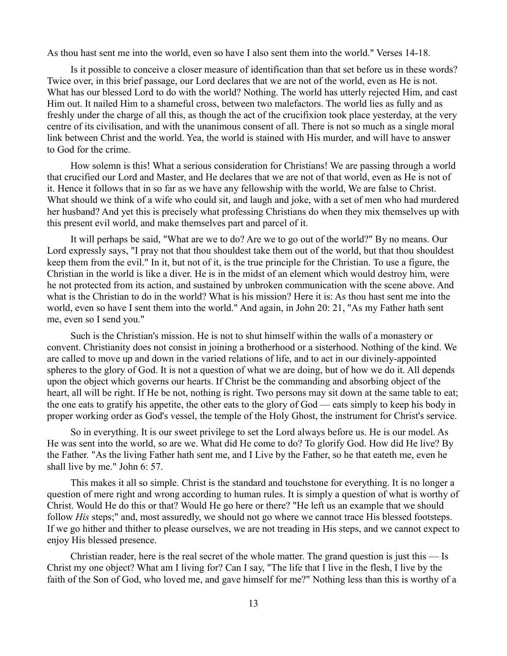As thou hast sent me into the world, even so have I also sent them into the world." Verses 14-18.

Is it possible to conceive a closer measure of identification than that set before us in these words? Twice over, in this brief passage, our Lord declares that we are not of the world, even as He is not. What has our blessed Lord to do with the world? Nothing. The world has utterly rejected Him, and cast Him out. It nailed Him to a shameful cross, between two malefactors. The world lies as fully and as freshly under the charge of all this, as though the act of the crucifixion took place yesterday, at the very centre of its civilisation, and with the unanimous consent of all. There is not so much as a single moral link between Christ and the world. Yea, the world is stained with His murder, and will have to answer to God for the crime.

How solemn is this! What a serious consideration for Christians! We are passing through a world that crucified our Lord and Master, and He declares that we are not of that world, even as He is not of it. Hence it follows that in so far as we have any fellowship with the world, We are false to Christ. What should we think of a wife who could sit, and laugh and joke, with a set of men who had murdered her husband? And yet this is precisely what professing Christians do when they mix themselves up with this present evil world, and make themselves part and parcel of it.

It will perhaps be said, "What are we to do? Are we to go out of the world?" By no means. Our Lord expressly says, "I pray not that thou shouldest take them out of the world, but that thou shouldest keep them from the evil." In it, but not of it, is the true principle for the Christian. To use a figure, the Christian in the world is like a diver. He is in the midst of an element which would destroy him, were he not protected from its action, and sustained by unbroken communication with the scene above. And what is the Christian to do in the world? What is his mission? Here it is: As thou hast sent me into the world, even so have I sent them into the world." And again, in John 20: 21, "As my Father hath sent me, even so I send you."

Such is the Christian's mission. He is not to shut himself within the walls of a monastery or convent. Christianity does not consist in joining a brotherhood or a sisterhood. Nothing of the kind. We are called to move up and down in the varied relations of life, and to act in our divinely-appointed spheres to the glory of God. It is not a question of what we are doing, but of how we do it. All depends upon the object which governs our hearts. If Christ be the commanding and absorbing object of the heart, all will be right. If He be not, nothing is right. Two persons may sit down at the same table to eat; the one eats to gratify his appetite, the other eats to the glory of God — eats simply to keep his body in proper working order as God's vessel, the temple of the Holy Ghost, the instrument for Christ's service.

So in everything. It is our sweet privilege to set the Lord always before us. He is our model. As He was sent into the world, so are we. What did He come to do? To glorify God. How did He live? By the Father. "As the living Father hath sent me, and I Live by the Father, so he that eateth me, even he shall live by me." John 6: 57.

This makes it all so simple. Christ is the standard and touchstone for everything. It is no longer a question of mere right and wrong according to human rules. It is simply a question of what is worthy of Christ. Would He do this or that? Would He go here or there? "He left us an example that we should follow *His* steps;" and, most assuredly, we should not go where we cannot trace His blessed footsteps. If we go hither and thither to please ourselves, we are not treading in His steps, and we cannot expect to enjoy His blessed presence.

Christian reader, here is the real secret of the whole matter. The grand question is just this — Is Christ my one object? What am I living for? Can I say, "The life that I live in the flesh, I live by the faith of the Son of God, who loved me, and gave himself for me?" Nothing less than this is worthy of a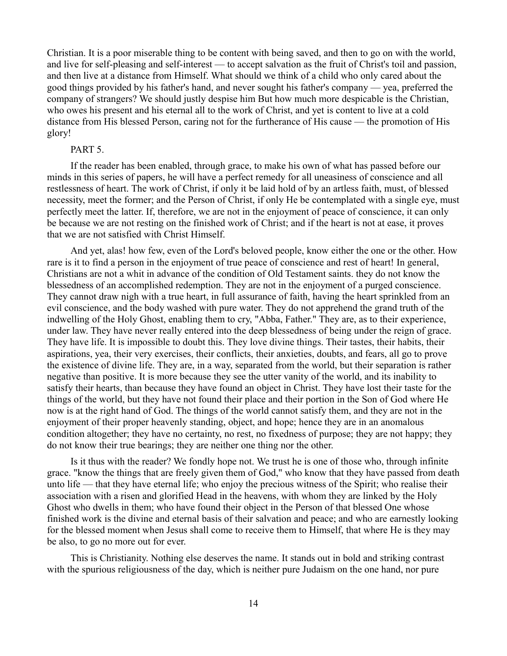Christian. It is a poor miserable thing to be content with being saved, and then to go on with the world, and live for self-pleasing and self-interest — to accept salvation as the fruit of Christ's toil and passion, and then live at a distance from Himself. What should we think of a child who only cared about the good things provided by his father's hand, and never sought his father's company — yea, preferred the company of strangers? We should justly despise him But how much more despicable is the Christian, who owes his present and his eternal all to the work of Christ, and yet is content to live at a cold distance from His blessed Person, caring not for the furtherance of His cause — the promotion of His glory!

#### PART 5.

If the reader has been enabled, through grace, to make his own of what has passed before our minds in this series of papers, he will have a perfect remedy for all uneasiness of conscience and all restlessness of heart. The work of Christ, if only it be laid hold of by an artless faith, must, of blessed necessity, meet the former; and the Person of Christ, if only He be contemplated with a single eye, must perfectly meet the latter. If, therefore, we are not in the enjoyment of peace of conscience, it can only be because we are not resting on the finished work of Christ; and if the heart is not at ease, it proves that we are not satisfied with Christ Himself.

And yet, alas! how few, even of the Lord's beloved people, know either the one or the other. How rare is it to find a person in the enjoyment of true peace of conscience and rest of heart! In general, Christians are not a whit in advance of the condition of Old Testament saints. they do not know the blessedness of an accomplished redemption. They are not in the enjoyment of a purged conscience. They cannot draw nigh with a true heart, in full assurance of faith, having the heart sprinkled from an evil conscience, and the body washed with pure water. They do not apprehend the grand truth of the indwelling of the Holy Ghost, enabling them to cry, "Abba, Father." They are, as to their experience, under law. They have never really entered into the deep blessedness of being under the reign of grace. They have life. It is impossible to doubt this. They love divine things. Their tastes, their habits, their aspirations, yea, their very exercises, their conflicts, their anxieties, doubts, and fears, all go to prove the existence of divine life. They are, in a way, separated from the world, but their separation is rather negative than positive. It is more because they see the utter vanity of the world, and its inability to satisfy their hearts, than because they have found an object in Christ. They have lost their taste for the things of the world, but they have not found their place and their portion in the Son of God where He now is at the right hand of God. The things of the world cannot satisfy them, and they are not in the enjoyment of their proper heavenly standing, object, and hope; hence they are in an anomalous condition altogether; they have no certainty, no rest, no fixedness of purpose; they are not happy; they do not know their true bearings; they are neither one thing nor the other.

Is it thus with the reader? We fondly hope not. We trust he is one of those who, through infinite grace. "know the things that are freely given them of God," who know that they have passed from death unto life — that they have eternal life; who enjoy the precious witness of the Spirit; who realise their association with a risen and glorified Head in the heavens, with whom they are linked by the Holy Ghost who dwells in them; who have found their object in the Person of that blessed One whose finished work is the divine and eternal basis of their salvation and peace; and who are earnestly looking for the blessed moment when Jesus shall come to receive them to Himself, that where He is they may be also, to go no more out for ever.

This is Christianity. Nothing else deserves the name. It stands out in bold and striking contrast with the spurious religiousness of the day, which is neither pure Judaism on the one hand, nor pure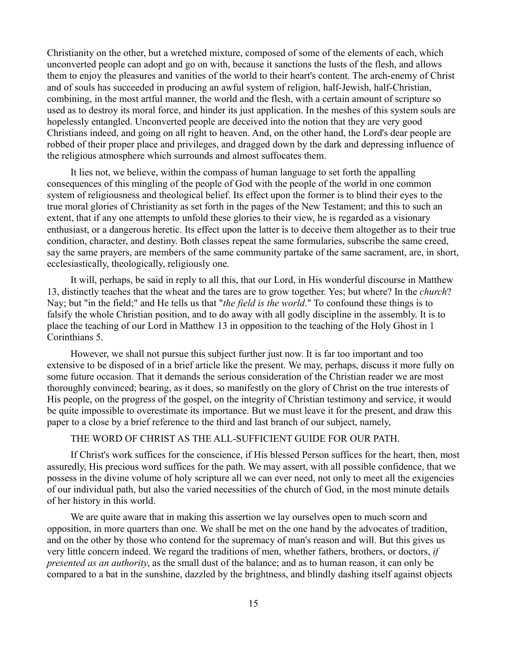Christianity on the other, but a wretched mixture, composed of some of the elements of each, which unconverted people can adopt and go on with, because it sanctions the lusts of the flesh, and allows them to enjoy the pleasures and vanities of the world to their heart's content. The arch-enemy of Christ and of souls has succeeded in producing an awful system of religion, half-Jewish, half-Christian, combining, in the most artful manner, the world and the flesh, with a certain amount of scripture so used as to destroy its moral force, and hinder its just application. In the meshes of this system souls are hopelessly entangled. Unconverted people are deceived into the notion that they are very good Christians indeed, and going on all right to heaven. And, on the other hand, the Lord's dear people are robbed of their proper place and privileges, and dragged down by the dark and depressing influence of the religious atmosphere which surrounds and almost suffocates them.

It lies not, we believe, within the compass of human language to set forth the appalling consequences of this mingling of the people of God with the people of the world in one common system of religiousness and theological belief. Its effect upon the former is to blind their eyes to the true moral glories of Christianity as set forth in the pages of the New Testament; and this to such an extent, that if any one attempts to unfold these glories to their view, he is regarded as a visionary enthusiast, or a dangerous heretic. Its effect upon the latter is to deceive them altogether as to their true condition, character, and destiny. Both classes repeat the same formularies, subscribe the same creed, say the same prayers, are members of the same community partake of the same sacrament, are, in short, ecclesiastically, theologically, religiously one.

It will, perhaps, be said in reply to all this, that our Lord, in His wonderful discourse in Matthew 13, distinctly teaches that the wheat and the tares are to grow together. Yes; but where? In the *church*? Nay; but "in the field;" and He tells us that "*the field is the world*." To confound these things is to falsify the whole Christian position, and to do away with all godly discipline in the assembly. It is to place the teaching of our Lord in Matthew 13 in opposition to the teaching of the Holy Ghost in 1 Corinthians 5.

However, we shall not pursue this subject further just now. It is far too important and too extensive to be disposed of in a brief article like the present. We may, perhaps, discuss it more fully on some future occasion. That it demands the serious consideration of the Christian reader we are most thoroughly convinced; bearing, as it does, so manifestly on the glory of Christ on the true interests of His people, on the progress of the gospel, on the integrity of Christian testimony and service, it would be quite impossible to overestimate its importance. But we must leave it for the present, and draw this paper to a close by a brief reference to the third and last branch of our subject, namely,

## THE WORD OF CHRIST AS THE ALL-SUFFICIENT GUIDE FOR OUR PATH.

If Christ's work suffices for the conscience, if His blessed Person suffices for the heart, then, most assuredly, His precious word suffices for the path. We may assert, with all possible confidence, that we possess in the divine volume of holy scripture all we can ever need, not only to meet all the exigencies of our individual path, but also the varied necessities of the church of God, in the most minute details of her history in this world.

We are quite aware that in making this assertion we lay ourselves open to much scorn and opposition, in more quarters than one. We shall be met on the one hand by the advocates of tradition, and on the other by those who contend for the supremacy of man's reason and will. But this gives us very little concern indeed. We regard the traditions of men, whether fathers, brothers, or doctors, *if presented as an authority*, as the small dust of the balance; and as to human reason, it can only be compared to a bat in the sunshine, dazzled by the brightness, and blindly dashing itself against objects